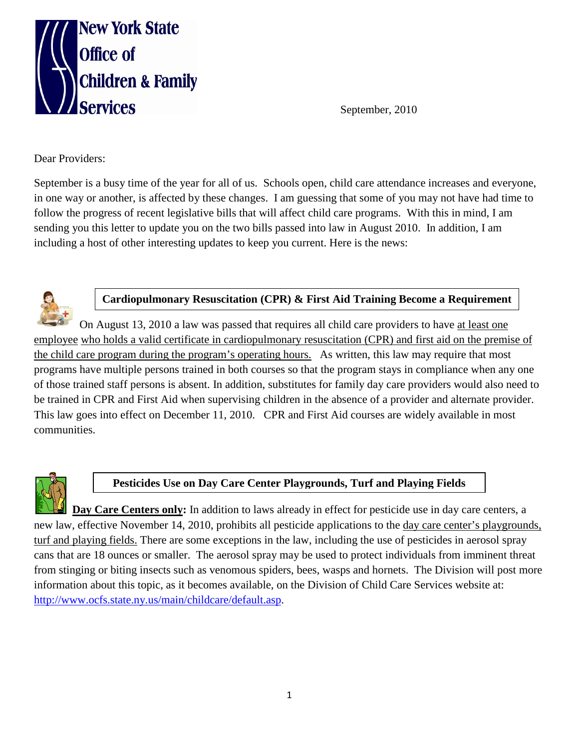

September, 2010

Dear Providers:

September is a busy time of the year for all of us. Schools open, child care attendance increases and everyone, in one way or another, is affected by these changes. I am guessing that some of you may not have had time to follow the progress of recent legislative bills that will affect child care programs. With this in mind, I am sending you this letter to update you on the two bills passed into law in August 2010. In addition, I am including a host of other interesting updates to keep you current. Here is the news:



# **Cardiopulmonary Resuscitation (CPR) & First Aid Training Become a Requirement**

On August 13, 2010 a law was passed that requires all child care providers to have at least one employee who holds a valid certificate in cardiopulmonary resuscitation (CPR) and first aid on the premise of the child care program during the program's operating hours. As written, this law may require that most programs have multiple persons trained in both courses so that the program stays in compliance when any one of those trained staff persons is absent. In addition, substitutes for family day care providers would also need to be trained in CPR and First Aid when supervising children in the absence of a provider and alternate provider. This law goes into effect on December 11, 2010. CPR and First Aid courses are widely available in most communities.



### **Pesticides Use on Day Care Center Playgrounds, Turf and Playing Fields**

**Day Care Centers only:** In addition to laws already in effect for pesticide use in day care centers, a new law, effective November 14, 2010, prohibits all pesticide applications to the day care center's playgrounds, turf and playing fields. There are some exceptions in the law, including the use of pesticides in aerosol spray cans that are 18 ounces or smaller. The aerosol spray may be used to protect individuals from imminent threat from stinging or biting insects such as venomous spiders, bees, wasps and hornets. The Division will post more information about this topic, as it becomes available, on the Division of Child Care Services website at: [http://www.ocfs.state.ny.us/main/childcare/default.asp.](http://www.ocfs.state.ny.us/main/childcare/default.asp)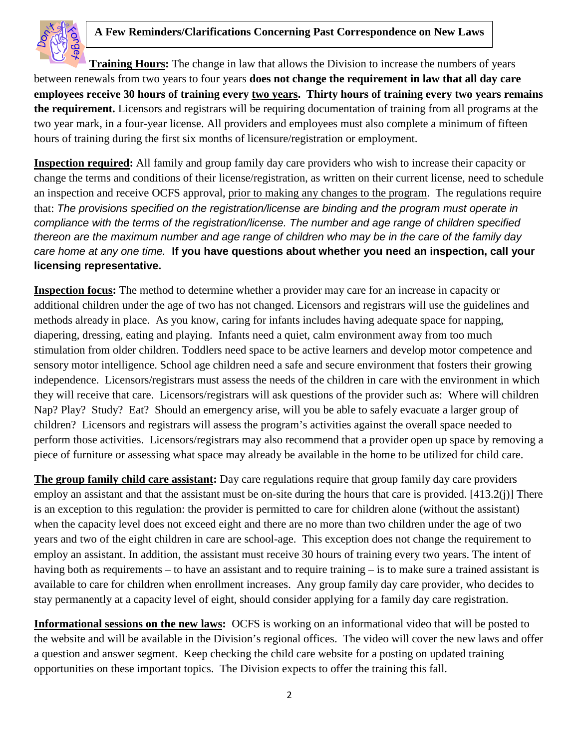

### **A Few Reminders/Clarifications Concerning Past Correspondence on New Laws**

**Training Hours:** The change in law that allows the Division to increase the numbers of years between renewals from two years to four years **does not change the requirement in law that all day care employees receive 30 hours of training every two years. Thirty hours of training every two years remains the requirement.** Licensors and registrars will be requiring documentation of training from all programs at the two year mark, in a four-year license. All providers and employees must also complete a minimum of fifteen hours of training during the first six months of licensure/registration or employment.

**Inspection required:** All family and group family day care providers who wish to increase their capacity or change the terms and conditions of their license/registration, as written on their current license, need to schedule an inspection and receive OCFS approval, prior to making any changes to the program. The regulations require that: *The provisions specified on the registration/license are binding and the program must operate in compliance with the terms of the registration/license. The number and age range of children specified thereon are the maximum number and age range of children who may be in the care of the family day care home at any one time.* **If you have questions about whether you need an inspection, call your licensing representative.**

**Inspection focus:** The method to determine whether a provider may care for an increase in capacity or additional children under the age of two has not changed. Licensors and registrars will use the guidelines and methods already in place. As you know, caring for infants includes having adequate space for napping, diapering, dressing, eating and playing. Infants need a quiet, calm environment away from too much stimulation from older children. Toddlers need space to be active learners and develop motor competence and sensory motor intelligence. School age children need a safe and secure environment that fosters their growing independence. Licensors/registrars must assess the needs of the children in care with the environment in which they will receive that care. Licensors/registrars will ask questions of the provider such as: Where will children Nap? Play? Study? Eat? Should an emergency arise, will you be able to safely evacuate a larger group of children? Licensors and registrars will assess the program's activities against the overall space needed to perform those activities. Licensors/registrars may also recommend that a provider open up space by removing a piece of furniture or assessing what space may already be available in the home to be utilized for child care.

**The group family child care assistant:** Day care regulations require that group family day care providers employ an assistant and that the assistant must be on-site during the hours that care is provided. [413.2(j)] There is an exception to this regulation: the provider is permitted to care for children alone (without the assistant) when the capacity level does not exceed eight and there are no more than two children under the age of two years and two of the eight children in care are school-age. This exception does not change the requirement to employ an assistant. In addition, the assistant must receive 30 hours of training every two years. The intent of having both as requirements – to have an assistant and to require training – is to make sure a trained assistant is available to care for children when enrollment increases. Any group family day care provider, who decides to stay permanently at a capacity level of eight, should consider applying for a family day care registration.

**Informational sessions on the new laws:** OCFS is working on an informational video that will be posted to the website and will be available in the Division's regional offices. The video will cover the new laws and offer a question and answer segment. Keep checking the child care website for a posting on updated training opportunities on these important topics. The Division expects to offer the training this fall.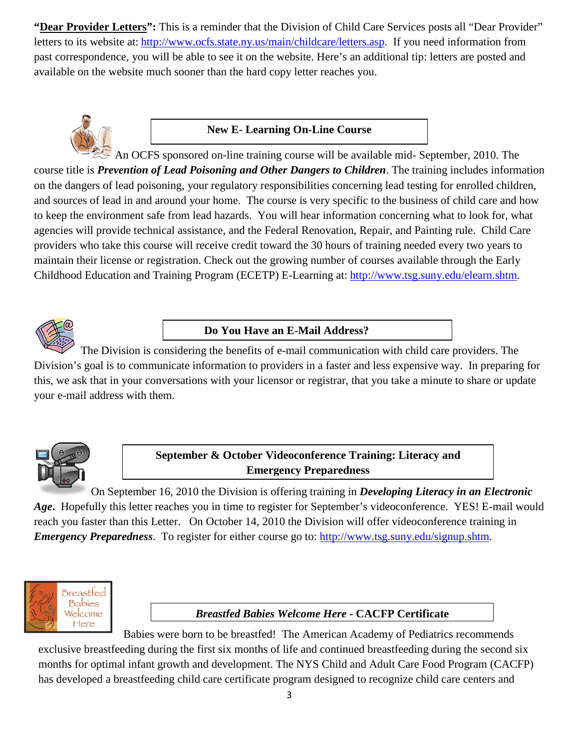**"Dear Provider Letters":** This is a reminder that the Division of Child Care Services posts all "Dear Provider" letters to its website at: [http://www.ocfs.state.ny.us/main/childcare/letters.asp.](http://www.ocfs.state.ny.us/main/childcare/letters.asp) If you need information from past correspondence, you will be able to see it on the website. Here's an additional tip: letters are posted and available on the website much sooner than the hard copy letter reaches you.



**New E- Learning On-Line Course**

An OCFS sponsored on-line training course will be available mid- September, 2010. The course title is *Prevention of Lead Poisoning and Other Dangers to Children*. The training includes information on the dangers of lead poisoning, your regulatory responsibilities concerning lead testing for enrolled children, and sources of lead in and around your home. The course is very specific to the business of child care and how to keep the environment safe from lead hazards. You will hear information concerning what to look for, what agencies will provide technical assistance, and the Federal Renovation, Repair, and Painting rule. Child Care providers who take this course will receive credit toward the 30 hours of training needed every two years to maintain their license or registration. Check out the growing number of courses available through the Early Childhood Education and Training Program (ECETP) E-Learning at: [http://www.tsg.suny.edu/elearn.shtm.](http://www.tsg.suny.edu/elearn.shtm)



## **Do You Have an E-Mail Address?**

 The Division is considering the benefits of e-mail communication with child care providers. The Division's goal is to communicate information to providers in a faster and less expensive way. In preparing for this, we ask that in your conversations with your licensor or registrar, that you take a minute to share or update your e-mail address with them.



**September & October Videoconference Training: Literacy and Emergency Preparedness**

On September 16, 2010 the Division is offering training in *Developing Literacy in an Electronic Age***.** Hopefully this letter reaches you in time to register for September's videoconference. YES! E-mail would reach you faster than this Letter. On October 14, 2010 the Division will offer videoconference training in *Emergency Preparedness*. To register for either course go to: [http://www.tsg.suny.edu/signup.shtm.](http://www.tsg.suny.edu/signup.shtm)



### *Breastfed Babies Welcome Here* **- CACFP Certificate**

 Babies were born to be breastfed! The American Academy of Pediatrics recommends exclusive breastfeeding during the first six months of life and continued breastfeeding during the second six months for optimal infant growth and development. The NYS Child and Adult Care Food Program (CACFP) has developed a breastfeeding child care certificate program designed to recognize child care centers and